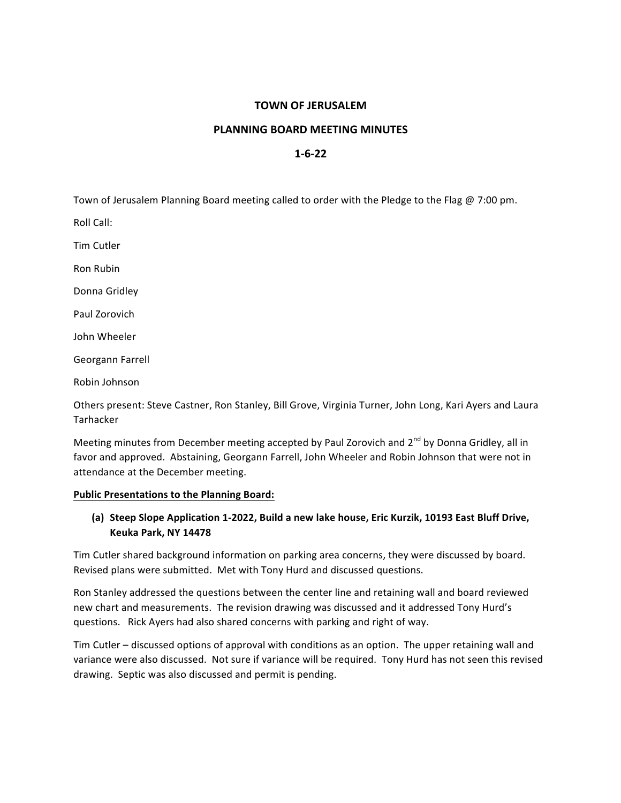## **TOWN OF JERUSALEM**

### **PLANNING BOARD MEETING MINUTES**

# **1-6-22**

Town of Jerusalem Planning Board meeting called to order with the Pledge to the Flag @ 7:00 pm.

Roll Call:

Tim Cutler

Ron Rubin

Donna Gridley

Paul Zorovich

John Wheeler

Georgann Farrell

Robin Johnson

Others present: Steve Castner, Ron Stanley, Bill Grove, Virginia Turner, John Long, Kari Ayers and Laura Tarhacker

Meeting minutes from December meeting accepted by Paul Zorovich and 2<sup>nd</sup> by Donna Gridley, all in favor and approved. Abstaining, Georgann Farrell, John Wheeler and Robin Johnson that were not in attendance at the December meeting.

#### **Public Presentations to the Planning Board:**

# (a) Steep Slope Application 1-2022, Build a new lake house, Eric Kurzik, 10193 East Bluff Drive, **Keuka Park, NY 14478**

Tim Cutler shared background information on parking area concerns, they were discussed by board. Revised plans were submitted. Met with Tony Hurd and discussed questions.

Ron Stanley addressed the questions between the center line and retaining wall and board reviewed new chart and measurements. The revision drawing was discussed and it addressed Tony Hurd's questions. Rick Ayers had also shared concerns with parking and right of way.

Tim Cutler – discussed options of approval with conditions as an option. The upper retaining wall and variance were also discussed. Not sure if variance will be required. Tony Hurd has not seen this revised drawing. Septic was also discussed and permit is pending.